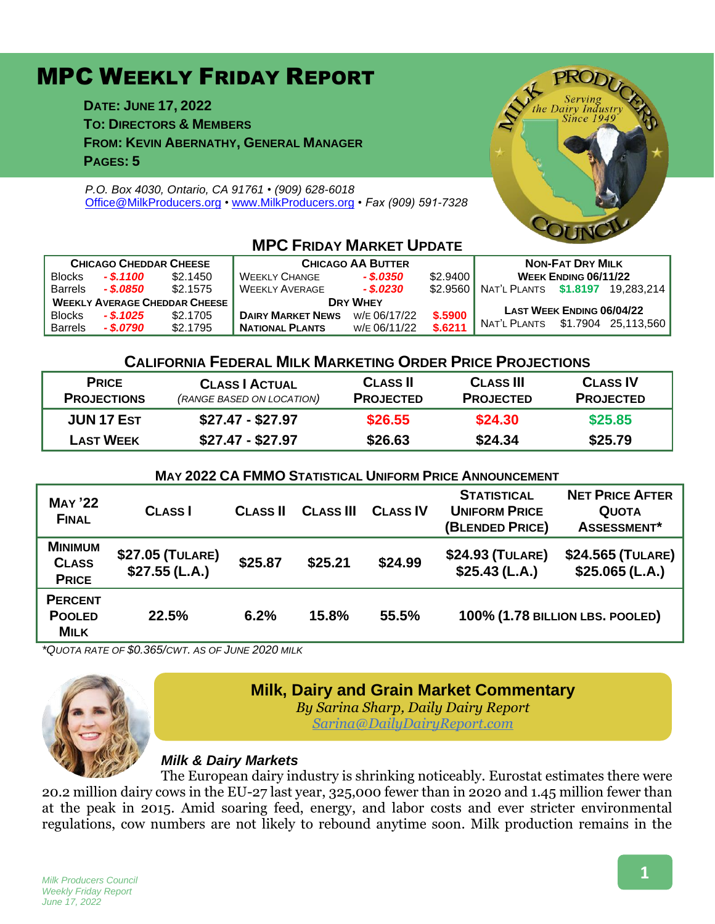# MPC WEEKLY FRIDAY REPORT

**DATE: JUNE 17, 2022 TO: DIRECTORS & MEMBERS FROM: KEVIN ABERNATHY, GENERAL MANAGER PAGES: 5**

*P.O. Box 4030, Ontario, CA 91761 • (909) 628-6018* [Office@MilkProducers.org](mailto:office@milkproducers.org) *•* [www.MilkProducers.org](http://www.milkproducers.org/) *• Fax (909) 591-7328*



| <b>CHICAGO CHEDDAR CHEESE</b>        |             |          | <b>CHICAGO AA BUTTER</b> |              |          | <b>NON-FAT DRY MILK</b>     |                                  |                     |
|--------------------------------------|-------------|----------|--------------------------|--------------|----------|-----------------------------|----------------------------------|---------------------|
| <b>Blocks</b>                        | $-$ \$.1100 | \$2,1450 | <b>WEEKLY CHANGE</b>     | - \$.0350    | \$2.9400 | <b>WEEK ENDING 06/11/22</b> |                                  |                     |
| <b>Barrels</b>                       | - \$.0850   | \$2.1575 | <b>WEEKLY AVERAGE</b>    | $-$ \$.0230  | \$2,9560 | NAT'L PLANTS                | \$1.8197                         | 19.283.214          |
| <b>WEEKLY AVERAGE CHEDDAR CHEESE</b> |             |          | <b>DRY WHEY</b>          |              |          |                             |                                  |                     |
| <b>Blocks</b>                        | $-$ \$.1025 | \$2,1705 | <b>DAIRY MARKET NEWS</b> | W/E 06/17/22 | \$.5900  |                             | <b>LAST WEEK ENDING 06/04/22</b> |                     |
| <b>Barrels</b>                       | - \$.0790   | \$2.1795 | <b>NATIONAL PLANTS</b>   | W/E 06/11/22 | \$.6211  | Nat'l Plants                |                                  | \$1.7904 25.113.560 |

## **MPC FRIDAY MARKET UPDATE**

## **CALIFORNIA FEDERAL MILK MARKETING ORDER PRICE PROJECTIONS**

| <b>PRICE</b><br><b>PROJECTIONS</b> | <b>CLASS   ACTUAL</b><br>(RANGE BASED ON LOCATION) | <b>CLASS II</b><br><b>PROJECTED</b> | <b>CLASS III</b><br><b>PROJECTED</b> | <b>CLASS IV</b><br><b>PROJECTED</b> |
|------------------------------------|----------------------------------------------------|-------------------------------------|--------------------------------------|-------------------------------------|
| <b>JUN 17 EST</b>                  | $$27.47 - $27.97$                                  | \$26.55                             | \$24.30                              | \$25.85                             |
| <b>LAST WEEK</b>                   | $$27.47 - $27.97$                                  | \$26.63                             | \$24.34                              | \$25.79                             |

#### **MAY 2022 CA FMMO STATISTICAL UNIFORM PRICE ANNOUNCEMENT**

| <b>MAY '22</b><br><b>FINAL</b>                 | <b>CLASS</b>                      | <b>CLASS II</b> | <b>CLASS III</b> | <b>CLASS IV</b> | <b>STATISTICAL</b><br><b>UNIFORM PRICE</b><br>(BLENDED PRICE) | <b>NET PRICE AFTER</b><br><b>QUOTA</b><br>ASSESSMENT* |
|------------------------------------------------|-----------------------------------|-----------------|------------------|-----------------|---------------------------------------------------------------|-------------------------------------------------------|
| <b>MINIMUM</b><br><b>CLASS</b><br><b>PRICE</b> | \$27.05 (TULARE)<br>\$27.55(L.A.) | \$25.87         | \$25.21          | \$24.99         | \$24.93 (TULARE)<br>$$25.43$ (L.A.)                           | \$24.565 (TULARE)<br>$$25.065$ (L.A.)                 |
| <b>PERCENT</b><br><b>POOLED</b><br><b>MILK</b> | 22.5%                             | 6.2%            | 15.8%            | 55.5%           | 100% (1.78 BILLION LBS. POOLED)                               |                                                       |

*\*QUOTA RATE OF \$0.365/CWT. AS OF JUNE 2020 MILK*



## **Milk, Dairy and Grain Market Commentary**

*By Sarina Sharp, Daily Dairy Report [Sarina@DailyDairyReport.com](mailto:Sarina@DailyDairyReport.com)*

## *Milk & Dairy Markets*

The European dairy industry is shrinking noticeably. Eurostat estimates there were 20.2 million dairy cows in the EU-27 last year, 325,000 fewer than in 2020 and 1.45 million fewer than at the peak in 2015. Amid soaring feed, energy, and labor costs and ever stricter environmental regulations, cow numbers are not likely to rebound anytime soon. Milk production remains in the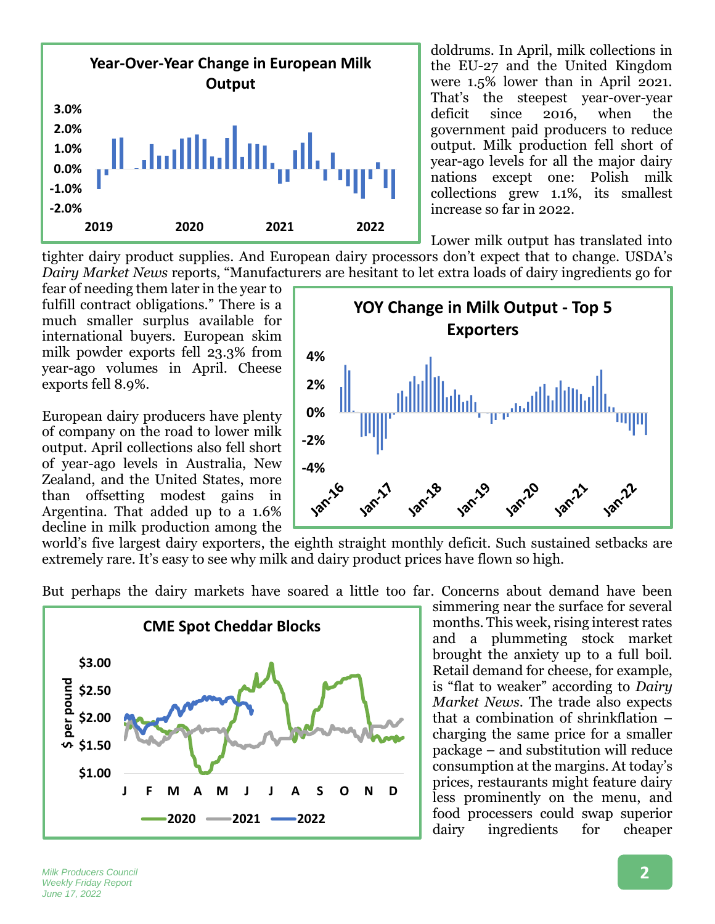

doldrums. In April, milk collections in the EU-27 and the United Kingdom were 1.5% lower than in April 2021. That's the steepest year-over-year deficit since 2016, when the government paid producers to reduce output. Milk production fell short of year-ago levels for all the major dairy nations except one: Polish milk collections grew 1.1%, its smallest increase so far in 2022.

Lower milk output has translated into

tighter dairy product supplies. And European dairy processors don't expect that to change. USDA's *Dairy Market News* reports, "Manufacturers are hesitant to let extra loads of dairy ingredients go for

fear of needing them later in the year to fulfill contract obligations." There is a much smaller surplus available for international buyers. European skim milk powder exports fell 23.3% from year-ago volumes in April. Cheese exports fell 8.9%.

European dairy producers have plenty of company on the road to lower milk output. April collections also fell short of year-ago levels in Australia, New Zealand, and the United States, more than offsetting modest gains in Argentina. That added up to a 1.6% decline in milk production among the



world's five largest dairy exporters, the eighth straight monthly deficit. Such sustained setbacks are extremely rare. It's easy to see why milk and dairy product prices have flown so high.

But perhaps the dairy markets have soared a little too far. Concerns about demand have been



simmering near the surface for several months. This week, rising interest rates and a plummeting stock market brought the anxiety up to a full boil. Retail demand for cheese, for example, is "flat to weaker" according to *Dairy Market News*. The trade also expects that a combination of shrinkflation – charging the same price for a smaller package – and substitution will reduce consumption at the margins. At today's prices, restaurants might feature dairy less prominently on the menu, and food processers could swap superior dairy ingredients for cheaper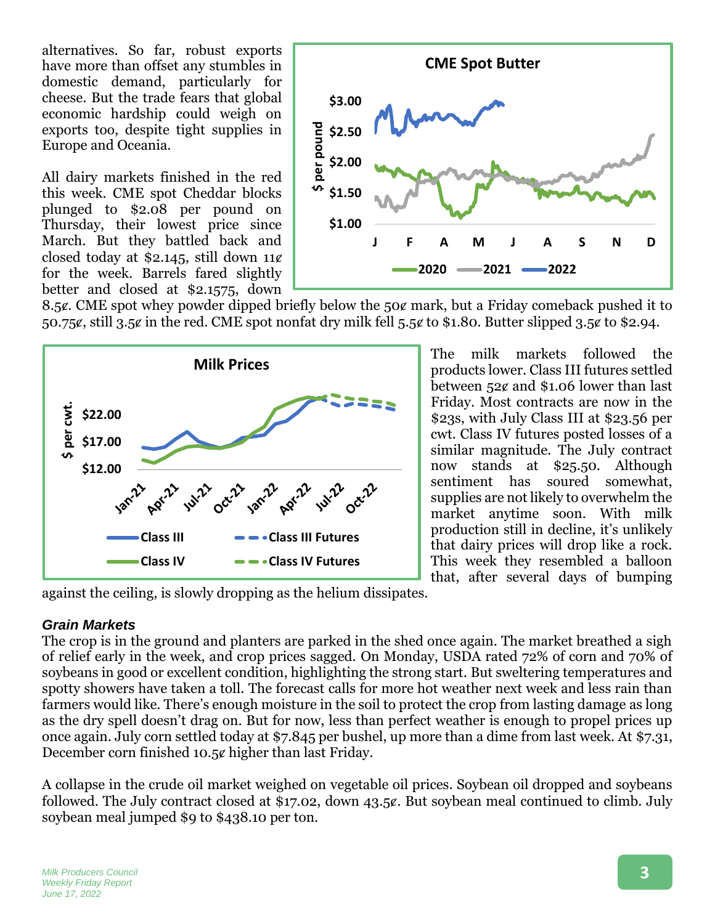alternatives. So far, robust exports have more than offset any stumbles in domestic demand, particularly for cheese. But the trade fears that global economic hardship could weigh on exports too, despite tight supplies in Europe and Oceania.

All dairy markets finished in the red this week. CME spot Cheddar blocks plunged to \$2.08 per pound on Thursday, their lowest price since March. But they battled back and closed today at \$2.145, still down  $11¢$ for the week. Barrels fared slightly better and closed at \$2.1575, down



8.5¢. CME spot whey powder dipped briefly below the 50¢ mark, but a Friday comeback pushed it to 50.75 $\epsilon$ , still 3.5 $\epsilon$  in the red. CME spot nonfat dry milk fell 5.5 $\epsilon$  to \$1.80. Butter slipped 3.5 $\epsilon$  to \$2.94.



The milk markets followed the products lower. Class III futures settled between 52ȼ and \$1.06 lower than last Friday. Most contracts are now in the \$23s, with July Class III at \$23.56 per cwt. Class IV futures posted losses of a similar magnitude. The July contract now stands at \$25.50. Although sentiment has soured somewhat, supplies are not likely to overwhelm the market anytime soon. With milk production still in decline, it's unlikely that dairy prices will drop like a rock. This week they resembled a balloon that, after several days of bumping

against the ceiling, is slowly dropping as the helium dissipates.

#### *Grain Markets*

The crop is in the ground and planters are parked in the shed once again. The market breathed a sigh of relief early in the week, and crop prices sagged. On Monday, USDA rated 72% of corn and 70% of soybeans in good or excellent condition, highlighting the strong start. But sweltering temperatures and spotty showers have taken a toll. The forecast calls for more hot weather next week and less rain than farmers would like. There's enough moisture in the soil to protect the crop from lasting damage as long as the dry spell doesn't drag on. But for now, less than perfect weather is enough to propel prices up once again. July corn settled today at \$7.845 per bushel, up more than a dime from last week. At \$7.31, December corn finished 10.5¢ higher than last Friday.

A collapse in the crude oil market weighed on vegetable oil prices. Soybean oil dropped and soybeans followed. The July contract closed at \$17.02, down 43.5¢. But soybean meal continued to climb. July soybean meal jumped \$9 to \$438.10 per ton.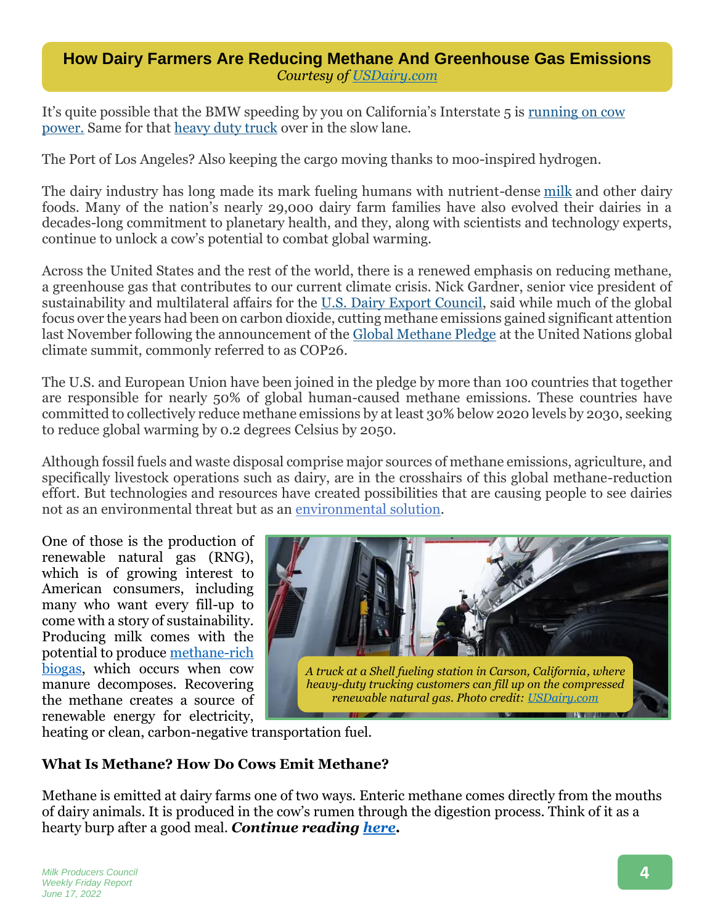## **How Dairy Farmers Are Reducing Methane And Greenhouse Gas Emissions** *Courtesy of [USDairy.com](https://www.usdairy.com/news-articles/farmers-reducing-methane-gas-from-cows)*

It's quite possible that the BMW speeding by you on California's Interstate 5 is [running on cow](https://www.press.bmwgroup.com/usa/article/detail/T0356632EN_US/bmw-of-north-america-and-california-bioenergy-expand-partnership-utilizing-innovative-dairy-technology-to-provide-clean-energy-for-ev-charging-in-california)  [power.](https://www.press.bmwgroup.com/usa/article/detail/T0356632EN_US/bmw-of-north-america-and-california-bioenergy-expand-partnership-utilizing-innovative-dairy-technology-to-provide-clean-energy-for-ev-charging-in-california) Same for that [heavy duty truck](https://www.volvotrucks.us/news-and-stories/press-releases/2022/january/affinity-truck-center-becomes-first-volvo-trucks-certified-ev-dealer-in-californias-central-valley/) over in the slow lane.

The Port of Los Angeles? Also keeping the cargo moving thanks to moo-inspired hydrogen.

The dairy industry has long made its mark fueling humans with nutrient-dense [milk](https://www.usdairy.com/dairy-nutrition/products/milk) and other dairy foods. Many of the nation's nearly 29,000 dairy farm families have also evolved their dairies in a decades-long commitment to planetary health, and they, along with scientists and technology experts, continue to unlock a cow's potential to combat global warming.

Across the United States and the rest of the world, there is a renewed emphasis on reducing methane, a greenhouse gas that contributes to our current climate crisis. Nick Gardner, senior vice president of sustainability and multilateral affairs for the [U.S. Dairy Export Council,](https://www.usdec.org/) said while much of the global focus over the years had been on carbon dioxide, cutting methane emissions gained significant attention last November following the announcement of the [Global Methane Pledge](https://www.globalmethanepledge.org/) at the United Nations global climate summit, commonly referred to as COP26.

The U.S. and European Union have been joined in the pledge by more than 100 countries that together are responsible for nearly 50% of global human-caused methane emissions. These countries have committed to collectively reduce methane emissions by at least 30% below 2020 levels by 2030, seeking to reduce global warming by 0.2 degrees Celsius by 2050.

Although fossil fuels and waste disposal comprise major sources of methane emissions, agriculture, and specifically livestock operations such as dairy, are in the crosshairs of this global methane-reduction effort. But technologies and resources have created possibilities that are causing people to see dairies not as an environmental threat but as an [environmental solution.](https://www.usdairy.com/news-articles/dairy-farmers-advance-environmental-practices-get-results)

One of those is the production of renewable natural gas (RNG), which is of growing interest to American consumers, including many who want every fill-up to come with a story of sustainability. Producing milk comes with the potential to produce [methane-rich](https://www.usdairy.com/news-articles/dairy-renewable-energy-environmental-sustainability)  [biogas,](https://www.usdairy.com/news-articles/dairy-renewable-energy-environmental-sustainability) which occurs when cow manure decomposes. Recovering the methane creates a source of renewable energy for electricity,



heating or clean, carbon-negative transportation fuel.

## **What Is Methane? How Do Cows Emit Methane?**

Methane is emitted at dairy farms one of two ways. Enteric methane comes directly from the mouths of dairy animals. It is produced in the cow's rumen through the digestion process. Think of it as a hearty burp after a good meal. *Continue reading [here.](usdairy.com/news-articles/farmers-reducing-methane-gas-from-cows)*